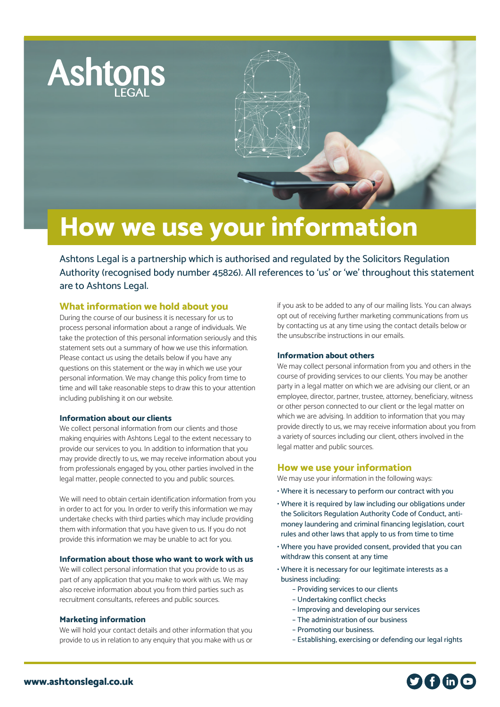

# **How we use your information**

Ashtons Legal is a partnership which is authorised and regulated by the Solicitors Regulation Authority (recognised body number 45826). All references to 'us' or 'we' throughout this statement are to Ashtons Legal.

# **What information we hold about you**

During the course of our business it is necessary for us to process personal information about a range of individuals. We take the protection of this personal information seriously and this statement sets out a summary of how we use this information. Please contact us using the details below if you have any questions on this statement or the way in which we use your personal information. We may change this policy from time to time and will take reasonable steps to draw this to your attention including publishing it on our website.

#### **Information about our clients**

We collect personal information from our clients and those making enquiries with Ashtons Legal to the extent necessary to provide our services to you. In addition to information that you may provide directly to us, we may receive information about you from professionals engaged by you, other parties involved in the legal matter, people connected to you and public sources.

We will need to obtain certain identification information from you in order to act for you. In order to verify this information we may undertake checks with third parties which may include providing them with information that you have given to us. If you do not provide this information we may be unable to act for you.

#### **Information about those who want to work with us**

We will collect personal information that you provide to us as part of any application that you make to work with us. We may also receive information about you from third parties such as recruitment consultants, referees and public sources.

#### **Marketing information**

We will hold your contact details and other information that you provide to us in relation to any enquiry that you make with us or

if you ask to be added to any of our mailing lists. You can always opt out of receiving further marketing communications from us by contacting us at any time using the contact details below or the unsubscribe instructions in our emails.

#### **Information about others**

We may collect personal information from you and others in the course of providing services to our clients. You may be another party in a legal matter on which we are advising our client, or an employee, director, partner, trustee, attorney, beneficiary, witness or other person connected to our client or the legal matter on which we are advising. In addition to information that you may provide directly to us, we may receive information about you from a variety of sources including our client, others involved in the legal matter and public sources.

## **How we use your information**

We may use your information in the following ways:

- Where it is necessary to perform our contract with you
- Where it is required by law including our obligations under the Solicitors Regulation Authority Code of Conduct, antimoney laundering and criminal financing legislation, court rules and other laws that apply to us from time to time
- Where you have provided consent, provided that you can withdraw this consent at any time
- Where it is necessary for our legitimate interests as a business including:
	- Providing services to our clients
	- Undertaking conflict checks
	- Improving and developing our services
	- The administration of our business
	- Promoting our business.
	- Establishing, exercising or defending our legal rights

 $\boldsymbol{\Omega}$  the  $\boldsymbol{\Omega}$